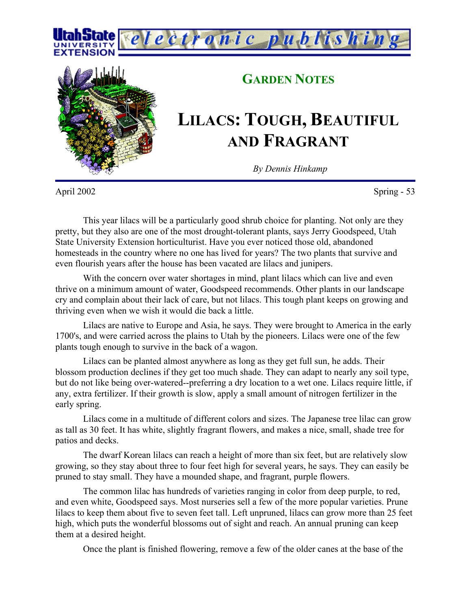



## **GARDEN NOTES**

## **LILACS: TOUGH, BEAUTIFUL AND FRAGRANT**

*By Dennis Hinkamp*

April 2002 Spring - 53

This year lilacs will be a particularly good shrub choice for planting. Not only are they pretty, but they also are one of the most drought-tolerant plants, says Jerry Goodspeed, Utah State University Extension horticulturist. Have you ever noticed those old, abandoned homesteads in the country where no one has lived for years? The two plants that survive and even flourish years after the house has been vacated are lilacs and junipers.

With the concern over water shortages in mind, plant lilacs which can live and even thrive on a minimum amount of water, Goodspeed recommends. Other plants in our landscape cry and complain about their lack of care, but not lilacs. This tough plant keeps on growing and thriving even when we wish it would die back a little.

Lilacs are native to Europe and Asia, he says. They were brought to America in the early 1700's, and were carried across the plains to Utah by the pioneers. Lilacs were one of the few plants tough enough to survive in the back of a wagon.

Lilacs can be planted almost anywhere as long as they get full sun, he adds. Their blossom production declines if they get too much shade. They can adapt to nearly any soil type, but do not like being over-watered--preferring a dry location to a wet one. Lilacs require little, if any, extra fertilizer. If their growth is slow, apply a small amount of nitrogen fertilizer in the early spring.

Lilacs come in a multitude of different colors and sizes. The Japanese tree lilac can grow as tall as 30 feet. It has white, slightly fragrant flowers, and makes a nice, small, shade tree for patios and decks.

The dwarf Korean lilacs can reach a height of more than six feet, but are relatively slow growing, so they stay about three to four feet high for several years, he says. They can easily be pruned to stay small. They have a mounded shape, and fragrant, purple flowers.

The common lilac has hundreds of varieties ranging in color from deep purple, to red, and even white, Goodspeed says. Most nurseries sell a few of the more popular varieties. Prune lilacs to keep them about five to seven feet tall. Left unpruned, lilacs can grow more than 25 feet high, which puts the wonderful blossoms out of sight and reach. An annual pruning can keep them at a desired height.

Once the plant is finished flowering, remove a few of the older canes at the base of the